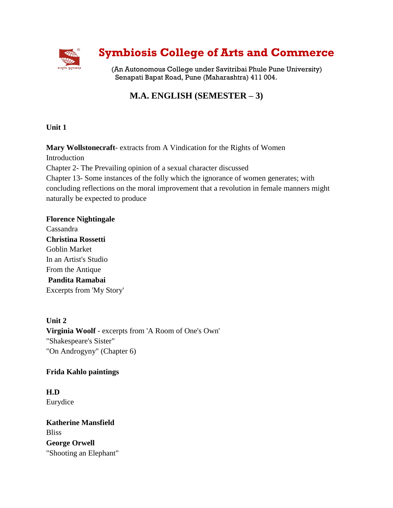

# **Symbiosis College of Arts and Commerce**

(An Autonomous College under Savitribai Phule Pune University) Senapati Bapat Road, Pune (Maharashtra) 411 004.

## **M.A. ENGLISH (SEMESTER – 3)**

**Unit 1**

**Mary Wollstonecraft**- extracts from A Vindication for the Rights of Women

Introduction

Chapter 2- The Prevailing opinion of a sexual character discussed

Chapter 13- Some instances of the folly which the ignorance of women generates; with concluding reflections on the moral improvement that a revolution in female manners might naturally be expected to produce

**Florence Nightingale**  Cassandra **Christina Rossetti** Goblin Market In an Artist's Studio From the Antique **Pandita Ramabai** Excerpts from 'My Story'

**Unit 2 Virginia Woolf** - excerpts from 'A Room of One's Own' "Shakespeare's Sister" "On Androgyny" (Chapter 6)

### **Frida Kahlo paintings**

**H.D** Eurydice

**Katherine Mansfield** Bliss **George Orwell**  "Shooting an Elephant"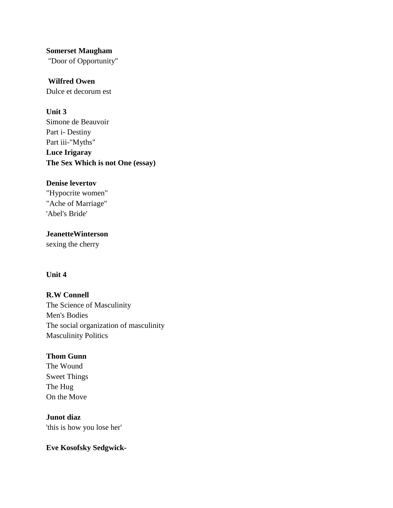**Somerset Maugham** 

"Door of Opportunity"

**Wilfred Owen** Dulce et decorum est

#### **Unit 3**

Simone de Beauvoir Part i- Destiny Part iii-"Myths" **Luce Irigaray The Sex Which is not One (essay)**

#### **Denise levertov**

"Hypocrite women" "Ache of Marriage" 'Abel's Bride'

**JeanetteWinterson** sexing the cherry

#### **Unit 4**

**R.W Connell** The Science of Masculinity Men's Bodies The social organization of masculinity Masculinity Politics

#### **Thom Gunn**

The Wound Sweet Things The Hug On the Move

**Junot diaz**  'this is how you lose her'

**Eve Kosofsky Sedgwick-**